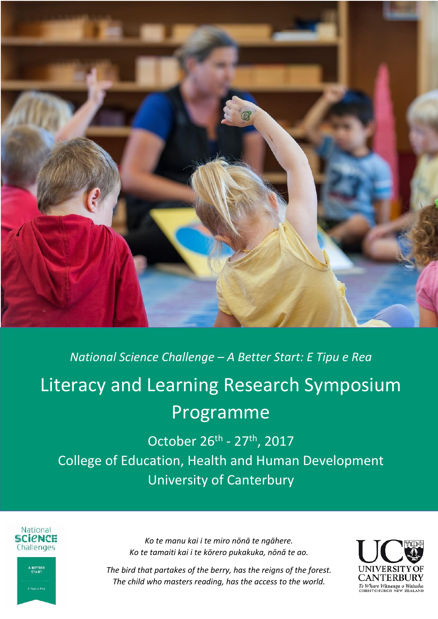

# *National Science Challenge – A Better Start: E Tipu e Rea* Literacy and Learning Research Symposium Programme

October 26<sup>th</sup> - 27<sup>th</sup>, 2017 College of Education, Health and Human Development University of Canterbury



A BETTER<br>START

:<br>Tiou e Rea



*The bird that partakes of the berry, has the reigns of the forest. The child who masters reading, has the access to the world.*

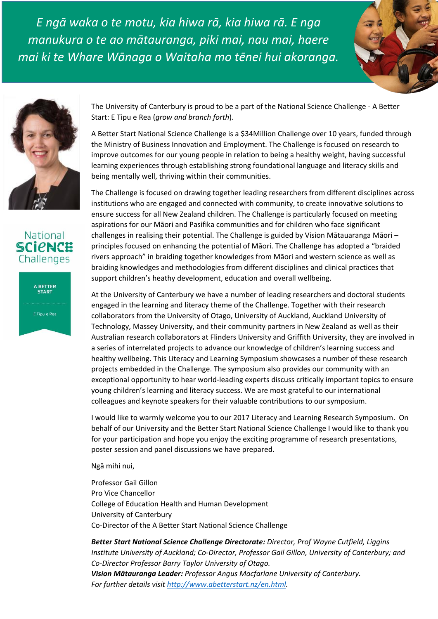*E ngā waka o te motu, kia hiwa rā, kia hiwa rā. E nga manukura o te ao mātauranga, piki mai, nau mai, haere mai ki te Whare Wānaga o Waitaha mo tēnei hui akoranga.*







A BETTER<br>START

E Tipu e Rea

The University of Canterbury is proud to be a part of the National Science Challenge - A Better Start: E Tipu e Rea (*grow and branch forth*).

A Better Start National Science Challenge is a \$34Million Challenge over 10 years, funded through the Ministry of Business Innovation and Employment. The Challenge is focused on research to improve outcomes for our young people in relation to being a healthy weight, having successful learning experiences through establishing strong foundational language and literacy skills and being mentally well, thriving within their communities.

The Challenge is focused on drawing together leading researchers from different disciplines across institutions who are engaged and connected with community, to create innovative solutions to ensure success for all New Zealand children. The Challenge is particularly focused on meeting aspirations for our Māori and Pasifika communities and for children who face significant challenges in realising their potential. The Challenge is guided by Vision Mātauaranga Māori – principles focused on enhancing the potential of Māori. The Challenge has adopted a "braided rivers approach" in braiding together knowledges from Māori and western science as well as braiding knowledges and methodologies from different disciplines and clinical practices that support children's heathy development, education and overall wellbeing.

At the University of Canterbury we have a number of leading researchers and doctoral students engaged in the learning and literacy theme of the Challenge. Together with their research collaborators from the University of Otago, University of Auckland, Auckland University of Technology, Massey University, and their community partners in New Zealand as well as their Australian research collaborators at Flinders University and Griffith University, they are involved in a series of interrelated projects to advance our knowledge of children's learning success and healthy wellbeing. This Literacy and Learning Symposium showcases a number of these research projects embedded in the Challenge. The symposium also provides our community with an exceptional opportunity to hear world-leading experts discuss critically important topics to ensure young children's learning and literacy success. We are most grateful to our international colleagues and keynote speakers for their valuable contributions to our symposium.

I would like to warmly welcome you to our 2017 Literacy and Learning Research Symposium. On behalf of our University and the Better Start National Science Challenge I would like to thank you for your participation and hope you enjoy the exciting programme of research presentations, poster session and panel discussions we have prepared.

Ngā mihi nui,

Professor Gail Gillon Pro Vice Chancellor College of Education Health and Human Development University of Canterbury Co-Director of the A Better Start National Science Challenge

*Better Start National Science Challenge Directorate: Director, Prof Wayne Cutfield, Liggins Institute University of Auckland; Co-Director, Professor Gail Gillon, University of Canterbury; and Co-Director Professor Barry Taylor University of Otago. Vision Mātauranga Leader: Professor Angus Macfarlane University of Canterbury. For further details visit [http://www.abetterstart.nz/en.html.](http://www.abetterstart.nz/en.html)*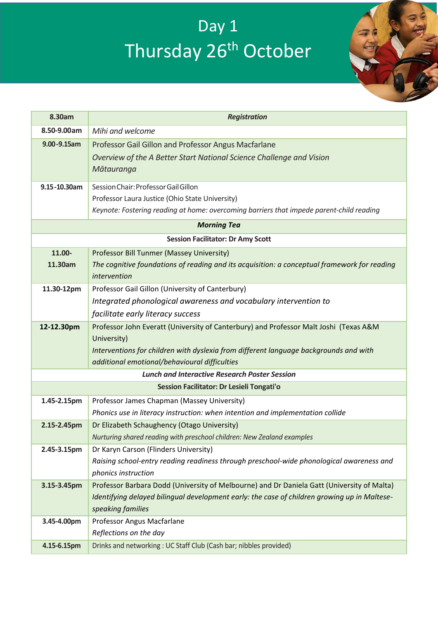# Day 1 Thursday 26<sup>th</sup> October



| 8.30am                                    | <b>Registration</b>                                                                                                           |  |
|-------------------------------------------|-------------------------------------------------------------------------------------------------------------------------------|--|
| 8.50-9.00am                               | Mihi and welcome                                                                                                              |  |
| 9.00-9.15am                               | Professor Gail Gillon and Professor Angus Macfarlane                                                                          |  |
|                                           | Overview of the A Better Start National Science Challenge and Vision                                                          |  |
|                                           | Mātauranga                                                                                                                    |  |
| 9.15-10.30am                              | Session Chair: Professor Gail Gillon                                                                                          |  |
|                                           | Professor Laura Justice (Ohio State University)                                                                               |  |
|                                           | Keynote: Fostering reading at home: overcoming barriers that impede parent-child reading                                      |  |
| <b>Morning Tea</b>                        |                                                                                                                               |  |
| <b>Session Facilitator: Dr Amy Scott</b>  |                                                                                                                               |  |
| 11.00-                                    | Professor Bill Tunmer (Massey University)                                                                                     |  |
| 11.30am                                   | The cognitive foundations of reading and its acquisition: a conceptual framework for reading                                  |  |
|                                           | intervention                                                                                                                  |  |
| 11.30-12pm                                | Professor Gail Gillon (University of Canterbury)                                                                              |  |
|                                           | Integrated phonological awareness and vocabulary intervention to                                                              |  |
|                                           | facilitate early literacy success                                                                                             |  |
| 12-12.30pm                                | Professor John Everatt (University of Canterbury) and Professor Malt Joshi (Texas A&M                                         |  |
|                                           | University)                                                                                                                   |  |
|                                           | Interventions for children with dyslexia from different language backgrounds and with                                         |  |
|                                           | additional emotional/behavioural difficulties<br><b>Lunch and Interactive Research Poster Session</b>                         |  |
| Session Facilitator: Dr Lesieli Tongati'o |                                                                                                                               |  |
|                                           |                                                                                                                               |  |
| 1.45-2.15pm                               | Professor James Chapman (Massey University)<br>Phonics use in literacy instruction: when intention and implementation collide |  |
| 2.15-2.45pm                               | Dr Elizabeth Schaughency (Otago University)                                                                                   |  |
|                                           | Nurturing shared reading with preschool children: New Zealand examples                                                        |  |
| 2.45-3.15pm                               | Dr Karyn Carson (Flinders University)                                                                                         |  |
|                                           | Raising school-entry reading readiness through preschool-wide phonological awareness and                                      |  |
|                                           | phonics instruction                                                                                                           |  |
| 3.15-3.45pm                               | Professor Barbara Dodd (University of Melbourne) and Dr Daniela Gatt (University of Malta)                                    |  |
|                                           | Identifying delayed bilingual development early: the case of children growing up in Maltese-                                  |  |
|                                           | speaking families                                                                                                             |  |
| 3.45-4.00pm                               | Professor Angus Macfarlane                                                                                                    |  |
|                                           | Reflections on the day                                                                                                        |  |
| 4.15-6.15pm                               | Drinks and networking: UC Staff Club (Cash bar; nibbles provided)                                                             |  |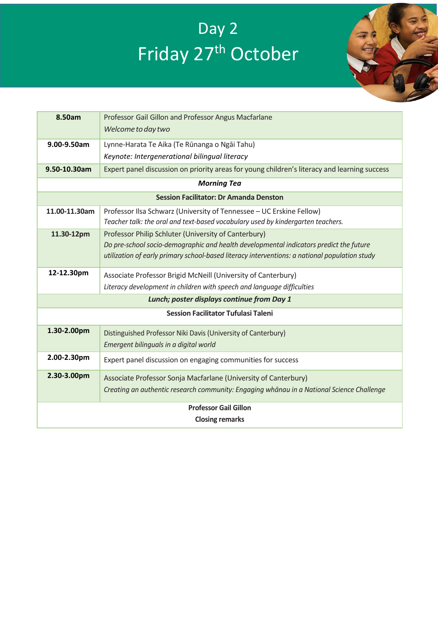# Day 2 Friday 27<sup>th</sup> October



| 8.50am<br>Professor Gail Gillon and Professor Angus Macfarlane                                               |  |  |
|--------------------------------------------------------------------------------------------------------------|--|--|
| Welcome to day two                                                                                           |  |  |
| 9.00-9.50am<br>Lynne-Harata Te Aika (Te Rūnanga o Ngāi Tahu)                                                 |  |  |
| Keynote: Intergenerational bilingual literacy                                                                |  |  |
| Expert panel discussion on priority areas for young children's literacy and learning success<br>9.50-10.30am |  |  |
| <b>Morning Tea</b>                                                                                           |  |  |
| <b>Session Facilitator: Dr Amanda Denston</b>                                                                |  |  |
| Professor Ilsa Schwarz (University of Tennessee - UC Erskine Fellow)<br>11.00-11.30am                        |  |  |
| Teacher talk: the oral and text-based vocabulary used by kindergarten teachers.                              |  |  |
| 11.30-12pm<br>Professor Philip Schluter (University of Canterbury)                                           |  |  |
| Do pre-school socio-demographic and health developmental indicators predict the future                       |  |  |
| utilization of early primary school-based literacy interventions: a national population study                |  |  |
| 12-12.30pm<br>Associate Professor Brigid McNeill (University of Canterbury)                                  |  |  |
| Literacy development in children with speech and language difficulties                                       |  |  |
| Lunch; poster displays continue from Day 1                                                                   |  |  |
| <b>Session Facilitator Tufulasi Taleni</b>                                                                   |  |  |
| 1.30-2.00pm<br>Distinguished Professor Niki Davis (University of Canterbury)                                 |  |  |
| Emergent bilinguals in a digital world                                                                       |  |  |
| 2.00-2.30pm<br>Expert panel discussion on engaging communities for success                                   |  |  |
| 2.30-3.00pm<br>Associate Professor Sonja Macfarlane (University of Canterbury)                               |  |  |
|                                                                                                              |  |  |
| Creating an authentic research community: Engaging whānau in a National Science Challenge                    |  |  |
| <b>Professor Gail Gillon</b>                                                                                 |  |  |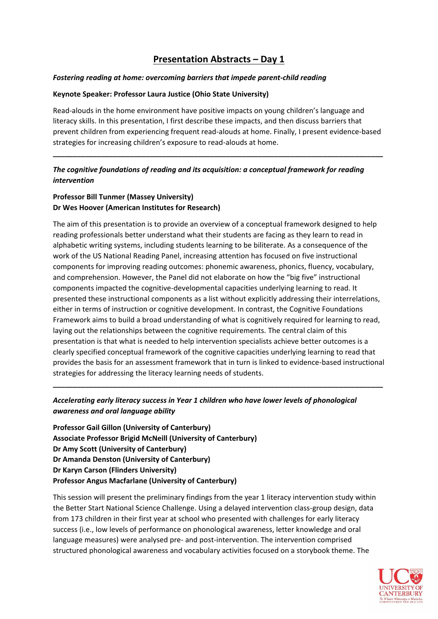# **Presentation Abstracts – Day 1**

#### *Fostering reading at home: overcoming barriers that impede parent-child reading*

#### **Keynote Speaker: Professor Laura Justice (Ohio State University)**

Read-alouds in the home environment have positive impacts on young children's language and literacy skills. In this presentation, I first describe these impacts, and then discuss barriers that prevent children from experiencing frequent read-alouds at home. Finally, I present evidence-based strategies for increasing children's exposure to read-alouds at home.

**\_\_\_\_\_\_\_\_\_\_\_\_\_\_\_\_\_\_\_\_\_\_\_\_\_\_\_\_\_\_\_\_\_\_\_\_\_\_\_\_\_\_\_\_\_\_\_\_\_\_\_\_\_\_\_\_\_\_\_\_\_\_\_\_\_\_\_\_\_\_\_\_\_\_\_\_\_\_\_\_\_\_**

## *The cognitive foundations of reading and its acquisition: a conceptual framework for reading intervention*

## **Professor Bill Tunmer (Massey University) Dr Wes Hoover (American Institutes for Research)**

The aim of this presentation is to provide an overview of a conceptual framework designed to help reading professionals better understand what their students are facing as they learn to read in alphabetic writing systems, including students learning to be biliterate. As a consequence of the work of the US National Reading Panel, increasing attention has focused on five instructional components for improving reading outcomes: phonemic awareness, phonics, fluency, vocabulary, and comprehension. However, the Panel did not elaborate on how the "big five" instructional components impacted the cognitive-developmental capacities underlying learning to read. It presented these instructional components as a list without explicitly addressing their interrelations, either in terms of instruction or cognitive development. In contrast, the Cognitive Foundations Framework aims to build a broad understanding of what is cognitively required for learning to read, laying out the relationships between the cognitive requirements. The central claim of this presentation is that what is needed to help intervention specialists achieve better outcomes is a clearly specified conceptual framework of the cognitive capacities underlying learning to read that provides the basis for an assessment framework that in turn is linked to evidence-based instructional strategies for addressing the literacy learning needs of students.

# *Accelerating early literacy success in Year 1 children who have lower levels of phonological awareness and oral language ability*

**\_\_\_\_\_\_\_\_\_\_\_\_\_\_\_\_\_\_\_\_\_\_\_\_\_\_\_\_\_\_\_\_\_\_\_\_\_\_\_\_\_\_\_\_\_\_\_\_\_\_\_\_\_\_\_\_\_\_\_\_\_\_\_\_\_\_\_\_\_\_\_\_\_\_\_\_\_\_\_\_\_\_**

**Professor Gail Gillon (University of Canterbury) Associate Professor Brigid McNeill (University of Canterbury) Dr Amy Scott (University of Canterbury) Dr Amanda Denston (University of Canterbury) Dr Karyn Carson (Flinders University) Professor Angus Macfarlane (University of Canterbury)**

This session will present the preliminary findings from the year 1 literacy intervention study within the Better Start National Science Challenge. Using a delayed intervention class-group design, data from 173 children in their first year at school who presented with challenges for early literacy success (i.e., low levels of performance on phonological awareness, letter knowledge and oral language measures) were analysed pre- and post-intervention. The intervention comprised structured phonological awareness and vocabulary activities focused on a storybook theme. The

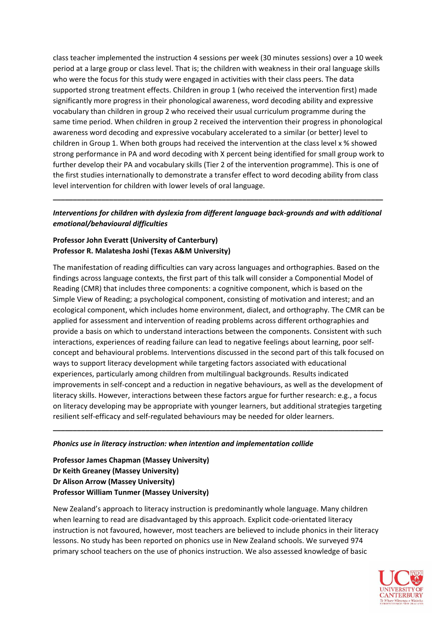class teacher implemented the instruction 4 sessions per week (30 minutes sessions) over a 10 week period at a large group or class level. That is; the children with weakness in their oral language skills who were the focus for this study were engaged in activities with their class peers. The data supported strong treatment effects. Children in group 1 (who received the intervention first) made significantly more progress in their phonological awareness, word decoding ability and expressive vocabulary than children in group 2 who received their usual curriculum programme during the same time period. When children in group 2 received the intervention their progress in phonological awareness word decoding and expressive vocabulary accelerated to a similar (or better) level to children in Group 1. When both groups had received the intervention at the class level x % showed strong performance in PA and word decoding with X percent being identified for small group work to further develop their PA and vocabulary skills (Tier 2 of the intervention programme). This is one of the first studies internationally to demonstrate a transfer effect to word decoding ability from class level intervention for children with lower levels of oral language.

## *Interventions for children with dyslexia from different language back-grounds and with additional emotional/behavioural difficulties*

**\_\_\_\_\_\_\_\_\_\_\_\_\_\_\_\_\_\_\_\_\_\_\_\_\_\_\_\_\_\_\_\_\_\_\_\_\_\_\_\_\_\_\_\_\_\_\_\_\_\_\_\_\_\_\_\_\_\_\_\_\_\_\_\_\_\_\_\_\_\_\_\_\_\_\_\_\_\_\_\_\_\_**

#### **Professor John Everatt (University of Canterbury) Professor R. Malatesha Joshi (Texas A&M University)**

The manifestation of reading difficulties can vary across languages and orthographies. Based on the findings across language contexts, the first part of this talk will consider a Componential Model of Reading (CMR) that includes three components: a cognitive component, which is based on the Simple View of Reading; a psychological component, consisting of motivation and interest; and an ecological component, which includes home environment, dialect, and orthography. The CMR can be applied for assessment and intervention of reading problems across different orthographies and provide a basis on which to understand interactions between the components. Consistent with such interactions, experiences of reading failure can lead to negative feelings about learning, poor selfconcept and behavioural problems. Interventions discussed in the second part of this talk focused on ways to support literacy development while targeting factors associated with educational experiences, particularly among children from multilingual backgrounds. Results indicated improvements in self-concept and a reduction in negative behaviours, as well as the development of literacy skills. However, interactions between these factors argue for further research: e.g., a focus on literacy developing may be appropriate with younger learners, but additional strategies targeting resilient self-efficacy and self-regulated behaviours may be needed for older learners.

**\_\_\_\_\_\_\_\_\_\_\_\_\_\_\_\_\_\_\_\_\_\_\_\_\_\_\_\_\_\_\_\_\_\_\_\_\_\_\_\_\_\_\_\_\_\_\_\_\_\_\_\_\_\_\_\_\_\_\_\_\_\_\_\_\_\_\_\_\_\_\_\_\_\_\_\_\_\_\_\_\_\_**

#### *Phonics use in literacy instruction: when intention and implementation collide*

**Professor James Chapman (Massey University) Dr Keith Greaney (Massey University) Dr Alison Arrow (Massey University) Professor William Tunmer (Massey University)**

New Zealand's approach to literacy instruction is predominantly whole language. Many children when learning to read are disadvantaged by this approach. Explicit code-orientated literacy instruction is not favoured, however, most teachers are believed to include phonics in their literacy lessons. No study has been reported on phonics use in New Zealand schools. We surveyed 974 primary school teachers on the use of phonics instruction. We also assessed knowledge of basic

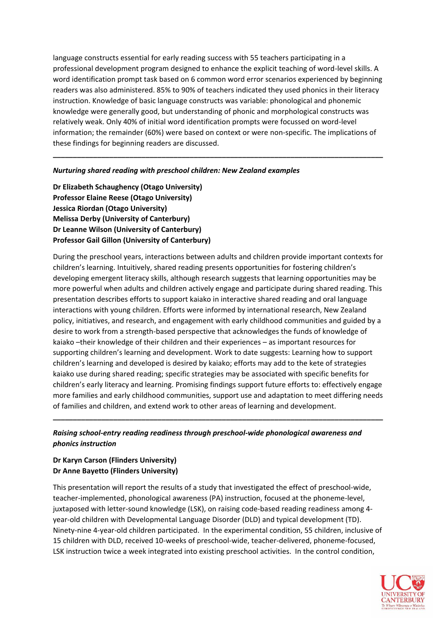language constructs essential for early reading success with 55 teachers participating in a professional development program designed to enhance the explicit teaching of word-level skills. A word identification prompt task based on 6 common word error scenarios experienced by beginning readers was also administered. 85% to 90% of teachers indicated they used phonics in their literacy instruction. Knowledge of basic language constructs was variable: phonological and phonemic knowledge were generally good, but understanding of phonic and morphological constructs was relatively weak. Only 40% of initial word identification prompts were focussed on word-level information; the remainder (60%) were based on context or were non-specific. The implications of these findings for beginning readers are discussed.

**\_\_\_\_\_\_\_\_\_\_\_\_\_\_\_\_\_\_\_\_\_\_\_\_\_\_\_\_\_\_\_\_\_\_\_\_\_\_\_\_\_\_\_\_\_\_\_\_\_\_\_\_\_\_\_\_\_\_\_\_\_\_\_\_\_\_\_\_\_\_\_\_\_\_\_\_\_\_\_\_\_\_**

#### *Nurturing shared reading with preschool children: New Zealand examples*

**Dr Elizabeth Schaughency (Otago University) Professor Elaine Reese (Otago University) Jessica Riordan (Otago University) Melissa Derby (University of Canterbury) Dr Leanne Wilson (University of Canterbury) Professor Gail Gillon (University of Canterbury)**

During the preschool years, interactions between adults and children provide important contexts for children's learning. Intuitively, shared reading presents opportunities for fostering children's developing emergent literacy skills, although research suggests that learning opportunities may be more powerful when adults and children actively engage and participate during shared reading. This presentation describes efforts to support kaiako in interactive shared reading and oral language interactions with young children. Efforts were informed by international research, New Zealand policy, initiatives, and research, and engagement with early childhood communities and guided by a desire to work from a strength-based perspective that acknowledges the funds of knowledge of kaiako –their knowledge of their children and their experiences – as important resources for supporting children's learning and development. Work to date suggests: Learning how to support children's learning and developed is desired by kaiako; efforts may add to the kete of strategies kaiako use during shared reading; specific strategies may be associated with specific benefits for children's early literacy and learning. Promising findings support future efforts to: effectively engage more families and early childhood communities, support use and adaptation to meet differing needs of families and children, and extend work to other areas of learning and development.

# *Raising school-entry reading readiness through preschool-wide phonological awareness and phonics instruction*

**\_\_\_\_\_\_\_\_\_\_\_\_\_\_\_\_\_\_\_\_\_\_\_\_\_\_\_\_\_\_\_\_\_\_\_\_\_\_\_\_\_\_\_\_\_\_\_\_\_\_\_\_\_\_\_\_\_\_\_\_\_\_\_\_\_\_\_\_\_\_\_\_\_\_\_\_\_\_\_\_\_\_**

## **Dr Karyn Carson (Flinders University) Dr Anne Bayetto (Flinders University)**

This presentation will report the results of a study that investigated the effect of preschool-wide, teacher-implemented, phonological awareness (PA) instruction, focused at the phoneme-level, juxtaposed with letter-sound knowledge (LSK), on raising code-based reading readiness among 4 year-old children with Developmental Language Disorder (DLD) and typical development (TD). Ninety-nine 4-year-old children participated. In the experimental condition, 55 children, inclusive of 15 children with DLD, received 10-weeks of preschool-wide, teacher-delivered, phoneme-focused, LSK instruction twice a week integrated into existing preschool activities. In the control condition,

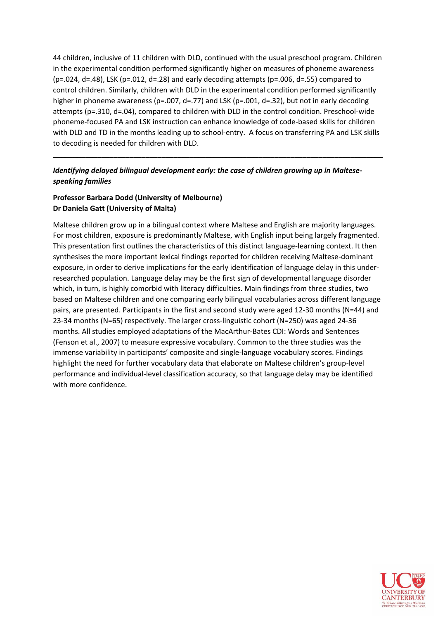44 children, inclusive of 11 children with DLD, continued with the usual preschool program. Children in the experimental condition performed significantly higher on measures of phoneme awareness  $(p=.024, d=.48)$ , LSK  $(p=.012, d=.28)$  and early decoding attempts  $(p=.006, d=.55)$  compared to control children. Similarly, children with DLD in the experimental condition performed significantly higher in phoneme awareness (p=.007, d=.77) and LSK (p=.001, d=.32), but not in early decoding attempts (p=.310, d=.04), compared to children with DLD in the control condition. Preschool-wide phoneme-focused PA and LSK instruction can enhance knowledge of code-based skills for children with DLD and TD in the months leading up to school-entry. A focus on transferring PA and LSK skills to decoding is needed for children with DLD.

**\_\_\_\_\_\_\_\_\_\_\_\_\_\_\_\_\_\_\_\_\_\_\_\_\_\_\_\_\_\_\_\_\_\_\_\_\_\_\_\_\_\_\_\_\_\_\_\_\_\_\_\_\_\_\_\_\_\_\_\_\_\_\_\_\_\_\_\_\_\_\_\_\_\_\_\_\_\_\_\_\_\_**

## *Identifying delayed bilingual development early: the case of children growing up in Maltesespeaking families*

# **Professor Barbara Dodd (University of Melbourne) Dr Daniela Gatt (University of Malta)**

Maltese children grow up in a bilingual context where Maltese and English are majority languages. For most children, exposure is predominantly Maltese, with English input being largely fragmented. This presentation first outlines the characteristics of this distinct language-learning context. It then synthesises the more important lexical findings reported for children receiving Maltese-dominant exposure, in order to derive implications for the early identification of language delay in this underresearched population. Language delay may be the first sign of developmental language disorder which, in turn, is highly comorbid with literacy difficulties. Main findings from three studies, two based on Maltese children and one comparing early bilingual vocabularies across different language pairs, are presented. Participants in the first and second study were aged 12-30 months (N=44) and 23-34 months (N=65) respectively. The larger cross-linguistic cohort (N=250) was aged 24-36 months. All studies employed adaptations of the MacArthur-Bates CDI: Words and Sentences (Fenson et al., 2007) to measure expressive vocabulary. Common to the three studies was the immense variability in participants' composite and single-language vocabulary scores. Findings highlight the need for further vocabulary data that elaborate on Maltese children's group-level performance and individual-level classification accuracy, so that language delay may be identified with more confidence.

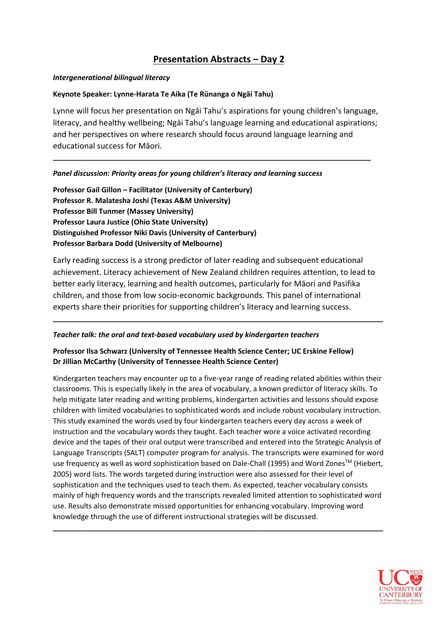# **Presentation Abstracts – Day 2**

#### *Intergenerational bilingual literacy*

## **Keynote Speaker: Lynne-Harata Te Aika (Te Rūnanga o Ngāi Tahu)**

Lynne will focus her presentation on Ngāi Tahu's aspirations for young children's language, literacy, and healthy wellbeing; Ngāi Tahu's language learning and educational aspirations; and her perspectives on where research should focus around language learning and educational success for Māori.

**\_\_\_\_\_\_\_\_\_\_\_\_\_\_\_\_\_\_\_\_\_\_\_\_\_\_\_\_\_\_\_\_\_\_\_\_\_\_\_\_\_\_\_\_\_\_\_\_\_\_\_\_\_\_\_\_\_\_\_\_\_\_\_\_\_\_\_\_\_\_\_\_\_\_\_\_\_\_\_**

## *Panel discussion: Priority areas for young children's literacy and learning success*

**Professor Gail Gillon – Facilitator (University of Canterbury) Professor R. Malatesha Joshi (Texas A&M University) Professor Bill Tunmer (Massey University) Professor Laura Justice (Ohio State University) Distinguished Professor Niki Davis (University of Canterbury) Professor Barbara Dodd (University of Melbourne)**

Early reading success is a strong predictor of later reading and subsequent educational achievement. Literacy achievement of New Zealand children requires attention, to lead to better early literacy, learning and health outcomes, particularly for Māori and Pasifika children, and those from low socio-economic backgrounds. This panel of international experts share their priorities for supporting children's literacy and learning success.

**\_\_\_\_\_\_\_\_\_\_\_\_\_\_\_\_\_\_\_\_\_\_\_\_\_\_\_\_\_\_\_\_\_\_\_\_\_\_\_\_\_\_\_\_\_\_\_\_\_\_\_\_\_\_\_\_\_\_\_\_\_\_\_\_\_\_\_\_\_\_\_\_\_\_\_\_\_\_\_\_\_\_**

#### *Teacher talk: the oral and text-based vocabulary used by kindergarten teachers*

# **Professor Ilsa Schwarz (University of Tennessee Health Science Center; UC Erskine Fellow) Dr Jillian McCarthy (University of Tennessee Health Science Center)**

Kindergarten teachers may encounter up to a five-year range of reading related abilities within their classrooms. This is especially likely in the area of vocabulary, a known predictor of literacy skills. To help mitigate later reading and writing problems, kindergarten activities and lessons should expose children with limited vocabularies to sophisticated words and include robust vocabulary instruction. This study examined the words used by four kindergarten teachers every day across a week of instruction and the vocabulary words they taught. Each teacher wore a voice activated recording device and the tapes of their oral output were transcribed and entered into the Strategic Analysis of Language Transcripts (SALT) computer program for analysis. The transcripts were examined for word use frequency as well as word sophistication based on Dale-Chall (1995) and Word Zones™ (Hiebert, 2005) word lists. The words targeted during instruction were also assessed for their level of sophistication and the techniques used to teach them. As expected, teacher vocabulary consists mainly of high frequency words and the transcripts revealed limited attention to sophisticated word use. Results also demonstrate missed opportunities for enhancing vocabulary. Improving word knowledge through the use of different instructional strategies will be discussed.

**\_\_\_\_\_\_\_\_\_\_\_\_\_\_\_\_\_\_\_\_\_\_\_\_\_\_\_\_\_\_\_\_\_\_\_\_\_\_\_\_\_\_\_\_\_\_\_\_\_\_\_\_\_\_\_\_\_\_\_\_\_\_\_\_\_\_\_\_\_\_\_\_\_\_\_\_\_\_\_\_\_\_**

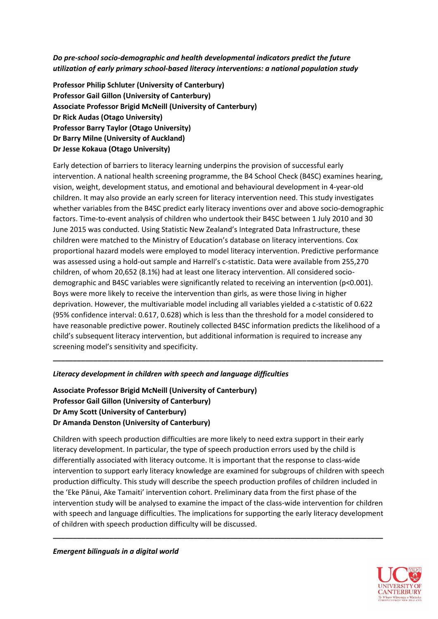*Do pre-school socio-demographic and health developmental indicators predict the future utilization of early primary school-based literacy interventions: a national population study*

**Professor Philip Schluter (University of Canterbury) Professor Gail Gillon (University of Canterbury) Associate Professor Brigid McNeill (University of Canterbury) Dr Rick Audas (Otago University) Professor Barry Taylor (Otago University) Dr Barry Milne (University of Auckland) Dr Jesse Kokaua (Otago University)**

Early detection of barriers to literacy learning underpins the provision of successful early intervention. A national health screening programme, the B4 School Check (B4SC) examines hearing, vision, weight, development status, and emotional and behavioural development in 4-year-old children. It may also provide an early screen for literacy intervention need. This study investigates whether variables from the B4SC predict early literacy inventions over and above socio-demographic factors. Time-to-event analysis of children who undertook their B4SC between 1 July 2010 and 30 June 2015 was conducted. Using Statistic New Zealand's Integrated Data Infrastructure, these children were matched to the Ministry of Education's database on literacy interventions. Cox proportional hazard models were employed to model literacy intervention. Predictive performance was assessed using a hold-out sample and Harrell's c-statistic. Data were available from 255,270 children, of whom 20,652 (8.1%) had at least one literacy intervention. All considered sociodemographic and B4SC variables were significantly related to receiving an intervention (p<0.001). Boys were more likely to receive the intervention than girls, as were those living in higher deprivation. However, the multivariable model including all variables yielded a c-statistic of 0.622 (95% confidence interval: 0.617, 0.628) which is less than the threshold for a model considered to have reasonable predictive power. Routinely collected B4SC information predicts the likelihood of a child's subsequent literacy intervention, but additional information is required to increase any screening model's sensitivity and specificity.

**\_\_\_\_\_\_\_\_\_\_\_\_\_\_\_\_\_\_\_\_\_\_\_\_\_\_\_\_\_\_\_\_\_\_\_\_\_\_\_\_\_\_\_\_\_\_\_\_\_\_\_\_\_\_\_\_\_\_\_\_\_\_\_\_\_\_\_\_\_\_\_\_\_\_\_\_\_\_\_\_\_\_**

#### *Literacy development in children with speech and language difficulties*

**Associate Professor Brigid McNeill (University of Canterbury) Professor Gail Gillon (University of Canterbury) Dr Amy Scott (University of Canterbury) Dr Amanda Denston (University of Canterbury)**

Children with speech production difficulties are more likely to need extra support in their early literacy development. In particular, the type of speech production errors used by the child is differentially associated with literacy outcome. It is important that the response to class-wide intervention to support early literacy knowledge are examined for subgroups of children with speech production difficulty. This study will describe the speech production profiles of children included in the 'Eke Pānui, Ake Tamaiti' intervention cohort. Preliminary data from the first phase of the intervention study will be analysed to examine the impact of the class-wide intervention for children with speech and language difficulties. The implications for supporting the early literacy development of children with speech production difficulty will be discussed.

**\_\_\_\_\_\_\_\_\_\_\_\_\_\_\_\_\_\_\_\_\_\_\_\_\_\_\_\_\_\_\_\_\_\_\_\_\_\_\_\_\_\_\_\_\_\_\_\_\_\_\_\_\_\_\_\_\_\_\_\_\_\_\_\_\_\_\_\_\_\_\_\_\_\_\_\_\_\_\_\_\_\_**



*Emergent bilinguals in a digital world*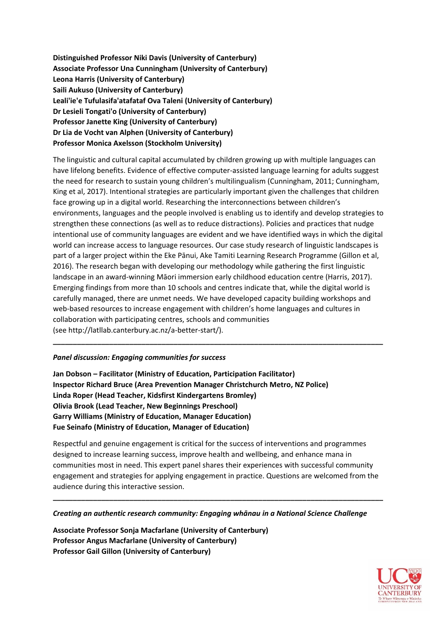**Distinguished Professor Niki Davis (University of Canterbury) Associate Professor Una Cunningham (University of Canterbury) Leona Harris (University of Canterbury) Saili Aukuso (University of Canterbury) Leali'ie'e Tufulasifa'atafataf Ova Taleni (University of Canterbury) Dr Lesieli Tongati'o (University of Canterbury) Professor Janette King (University of Canterbury) Dr Lia de Vocht van Alphen (University of Canterbury) Professor Monica Axelsson (Stockholm University)**

The linguistic and cultural capital accumulated by children growing up with multiple languages can have lifelong benefits. Evidence of effective computer-assisted language learning for adults suggest the need for research to sustain young children's multilingualism (Cunningham, 2011; Cunningham, King et al, 2017). Intentional strategies are particularly important given the challenges that children face growing up in a digital world. Researching the interconnections between children's environments, languages and the people involved is enabling us to identify and develop strategies to strengthen these connections (as well as to reduce distractions). Policies and practices that nudge intentional use of community languages are evident and we have identified ways in which the digital world can increase access to language resources. Our case study research of linguistic landscapes is part of a larger project within the Eke Pānui, Ake Tamiti Learning Research Programme (Gillon et al, 2016). The research began with developing our methodology while gathering the first linguistic landscape in an award-winning Māori immersion early childhood education centre (Harris, 2017). Emerging findings from more than 10 schools and centres indicate that, while the digital world is carefully managed, there are unmet needs. We have developed capacity building workshops and web-based resources to increase engagement with children's home languages and cultures in collaboration with participating centres, schools and communities (see [http://latllab.canterbury.ac.nz/a-better-start/\)](http://latllab.canterbury.ac.nz/a-better-start/).

**\_\_\_\_\_\_\_\_\_\_\_\_\_\_\_\_\_\_\_\_\_\_\_\_\_\_\_\_\_\_\_\_\_\_\_\_\_\_\_\_\_\_\_\_\_\_\_\_\_\_\_\_\_\_\_\_\_\_\_\_\_\_\_\_\_\_\_\_\_\_\_\_\_\_\_\_\_\_\_\_\_\_**

#### *Panel discussion: Engaging communities for success*

**Jan Dobson – Facilitator (Ministry of Education, Participation Facilitator) Inspector Richard Bruce (Area Prevention Manager Christchurch Metro, NZ Police) Linda Roper (Head Teacher, Kidsfirst Kindergartens Bromley) Olivia Brook (Lead Teacher, New Beginnings Preschool) Garry Williams (Ministry of Education, Manager Education) Fue Seinafo (Ministry of Education, Manager of Education)**

Respectful and genuine engagement is critical for the success of interventions and programmes designed to increase learning success, improve health and wellbeing, and enhance mana in communities most in need. This expert panel shares their experiences with successful community engagement and strategies for applying engagement in practice. Questions are welcomed from the audience during this interactive session.

**\_\_\_\_\_\_\_\_\_\_\_\_\_\_\_\_\_\_\_\_\_\_\_\_\_\_\_\_\_\_\_\_\_\_\_\_\_\_\_\_\_\_\_\_\_\_\_\_\_\_\_\_\_\_\_\_\_\_\_\_\_\_\_\_\_\_\_\_\_\_\_\_\_\_\_\_\_\_\_\_\_\_**

#### *Creating an authentic research community: Engaging whānau in a National Science Challenge*

**Associate Professor Sonja Macfarlane (University of Canterbury) Professor Angus Macfarlane (University of Canterbury) Professor Gail Gillon (University of Canterbury)**

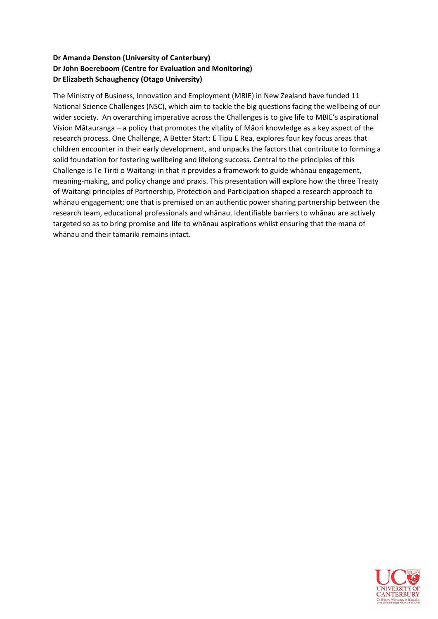# **Dr Amanda Denston (University of Canterbury) Dr John Boereboom (Centre for Evaluation and Monitoring) Dr Elizabeth Schaughency (Otago University)**

The Ministry of Business, Innovation and Employment (MBIE) in New Zealand have funded 11 National Science Challenges (NSC), which aim to tackle the big questions facing the wellbeing of our wider society. An overarching imperative across the Challenges is to give life to MBIE's aspirational Vision Mātauranga – a policy that promotes the vitality of Māori knowledge as a key aspect of the research process. One Challenge, A Better Start: E Tipu E Rea, explores four key focus areas that children encounter in their early development, and unpacks the factors that contribute to forming a solid foundation for fostering wellbeing and lifelong success. Central to the principles of this Challenge is Te Tiriti o Waitangi in that it provides a framework to guide whānau engagement, meaning-making, and policy change and praxis. This presentation will explore how the three Treaty of Waitangi principles of Partnership, Protection and Participation shaped a research approach to whānau engagement; one that is premised on an authentic power sharing partnership between the research team, educational professionals and whānau. Identifiable barriers to whānau are actively targeted so as to bring promise and life to whānau aspirations whilst ensuring that the mana of whānau and their tamariki remains intact.

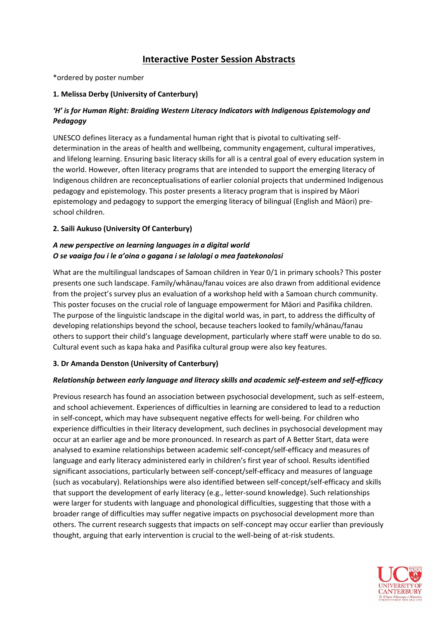# **Interactive Poster Session Abstracts**

\*ordered by poster number

## **1. Melissa Derby (University of Canterbury)**

# *'H' is for Human Right: Braiding Western Literacy Indicators with Indigenous Epistemology and Pedagogy*

UNESCO defines literacy as a fundamental human right that is pivotal to cultivating selfdetermination in the areas of health and wellbeing, community engagement, cultural imperatives, and lifelong learning. Ensuring basic literacy skills for all is a central goal of every education system in the world. However, often literacy programs that are intended to support the emerging literacy of Indigenous children are reconceptualisations of earlier colonial projects that undermined Indigenous pedagogy and epistemology. This poster presents a literacy program that is inspired by Māori epistemology and pedagogy to support the emerging literacy of bilingual (English and Māori) preschool children.

## **2. Saili Aukuso (University Of Canterbury)**

# *A new perspective on learning languages in a digital world O se vaaiga fou i le a'oina o gagana i se lalolagi o mea faatekonolosi*

What are the multilingual landscapes of Samoan children in Year 0/1 in primary schools? This poster presents one such landscape. Family/whānau/fanau voices are also drawn from additional evidence from the project's survey plus an evaluation of a workshop held with a Samoan church community. This poster focuses on the crucial role of language empowerment for Māori and Pasifika children. The purpose of the linguistic landscape in the digital world was, in part, to address the difficulty of developing relationships beyond the school, because teachers looked to family/whānau/fanau others to support their child's language development, particularly where staff were unable to do so. Cultural event such as kapa haka and Pasifika cultural group were also key features.

# **3. Dr Amanda Denston (University of Canterbury)**

# *Relationship between early language and literacy skills and academic self-esteem and self-efficacy*

Previous research has found an association between psychosocial development, such as self-esteem, and school achievement. Experiences of difficulties in learning are considered to lead to a reduction in self-concept, which may have subsequent negative effects for well-being. For children who experience difficulties in their literacy development, such declines in psychosocial development may occur at an earlier age and be more pronounced. In research as part of A Better Start, data were analysed to examine relationships between academic self-concept/self-efficacy and measures of language and early literacy administered early in children's first year of school. Results identified significant associations, particularly between self-concept/self-efficacy and measures of language (such as vocabulary). Relationships were also identified between self-concept/self-efficacy and skills that support the development of early literacy (e.g., letter-sound knowledge). Such relationships were larger for students with language and phonological difficulties, suggesting that those with a broader range of difficulties may suffer negative impacts on psychosocial development more than others. The current research suggests that impacts on self-concept may occur earlier than previously thought, arguing that early intervention is crucial to the well-being of at-risk students.

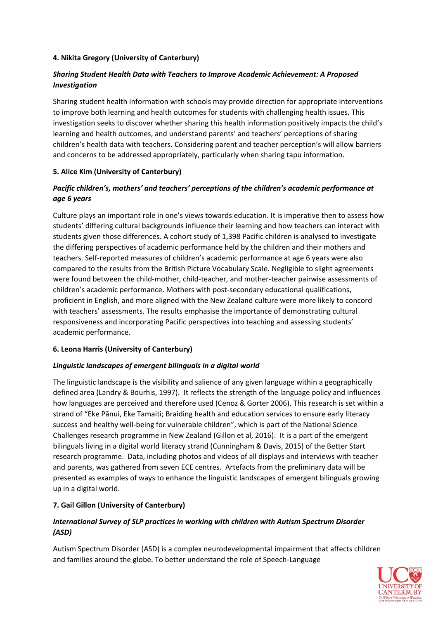## **4. Nikita Gregory (University of Canterbury)**

# *Sharing Student Health Data with Teachers to Improve Academic Achievement: A Proposed Investigation*

Sharing student health information with schools may provide direction for appropriate interventions to improve both learning and health outcomes for students with challenging health issues. This investigation seeks to discover whether sharing this health information positively impacts the child's learning and health outcomes, and understand parents' and teachers' perceptions of sharing children's health data with teachers. Considering parent and teacher perception's will allow barriers and concerns to be addressed appropriately, particularly when sharing tapu information.

## **5. Alice Kim (University of Canterbury)**

# *Pacific children's, mothers' and teachers' perceptions of the children's academic performance at age 6 years*

Culture plays an important role in one's views towards education. It is imperative then to assess how students' differing cultural backgrounds influence their learning and how teachers can interact with students given those differences. A cohort study of 1,398 Pacific children is analysed to investigate the differing perspectives of academic performance held by the children and their mothers and teachers. Self-reported measures of children's academic performance at age 6 years were also compared to the results from the British Picture Vocabulary Scale. Negligible to slight agreements were found between the child-mother, child-teacher, and mother-teacher pairwise assessments of children's academic performance. Mothers with post-secondary educational qualifications, proficient in English, and more aligned with the New Zealand culture were more likely to concord with teachers' assessments. The results emphasise the importance of demonstrating cultural responsiveness and incorporating Pacific perspectives into teaching and assessing students' academic performance.

#### **6. Leona Harris (University of Canterbury)**

# *Linguistic landscapes of emergent bilinguals in a digital world*

The linguistic landscape is the visibility and salience of any given language within a geographically defined area (Landry & Bourhis, 1997). It reflects the strength of the language policy and influences how languages are perceived and therefore used (Cenoz & Gorter 2006). This research is set within a strand of "Eke Pānui, Eke Tamaiti; Braiding health and education services to ensure early literacy success and healthy well-being for vulnerable children", which is part of the National Science Challenges research programme in New Zealand (Gillon et al, 2016). It is a part of the emergent bilinguals living in a digital world literacy strand (Cunningham & Davis, 2015) of the Better Start research programme. Data, including photos and videos of all displays and interviews with teacher and parents, was gathered from seven ECE centres. Artefacts from the preliminary data will be presented as examples of ways to enhance the linguistic landscapes of emergent bilinguals growing up in a digital world.

# **7. Gail Gillon (University of Canterbury)**

# *International Survey of SLP practices in working with children with Autism Spectrum Disorder (ASD)*

Autism Spectrum Disorder (ASD) is a complex neurodevelopmental impairment that affects children and families around the globe. To better understand the role of Speech-Language

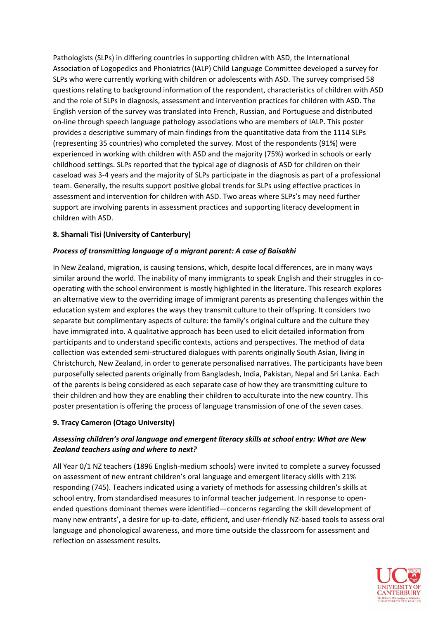Pathologists (SLPs) in differing countries in supporting children with ASD, the International Association of Logopedics and Phoniatrics (IALP) Child Language Committee developed a survey for SLPs who were currently working with children or adolescents with ASD. The survey comprised 58 questions relating to background information of the respondent, characteristics of children with ASD and the role of SLPs in diagnosis, assessment and intervention practices for children with ASD. The English version of the survey was translated into French, Russian, and Portuguese and distributed on-line through speech language pathology associations who are members of IALP. This poster provides a descriptive summary of main findings from the quantitative data from the 1114 SLPs (representing 35 countries) who completed the survey. Most of the respondents (91%) were experienced in working with children with ASD and the majority (75%) worked in schools or early childhood settings. SLPs reported that the typical age of diagnosis of ASD for children on their caseload was 3-4 years and the majority of SLPs participate in the diagnosis as part of a professional team. Generally, the results support positive global trends for SLPs using effective practices in assessment and intervention for children with ASD. Two areas where SLPs's may need further support are involving parents in assessment practices and supporting literacy development in children with ASD.

## **8. Sharnali Tisi (University of Canterbury)**

#### *Process of transmitting language of a migrant parent: A case of Baisakhi*

In New Zealand, migration, is causing tensions, which, despite local differences, are in many ways similar around the world. The inability of many immigrants to speak English and their struggles in cooperating with the school environment is mostly highlighted in the literature. This research explores an alternative view to the overriding image of immigrant parents as presenting challenges within the education system and explores the ways they transmit culture to their offspring. It considers two separate but complimentary aspects of culture: the family's original culture and the culture they have immigrated into. A qualitative approach has been used to elicit detailed information from participants and to understand specific contexts, actions and perspectives. The method of data collection was extended semi-structured dialogues with parents originally South Asian, living in Christchurch, New Zealand, in order to generate personalised narratives. The participants have been purposefully selected parents originally from Bangladesh, India, Pakistan, Nepal and Sri Lanka. Each of the parents is being considered as each separate case of how they are transmitting culture to their children and how they are enabling their children to acculturate into the new country. This poster presentation is offering the process of language transmission of one of the seven cases.

#### **9. Tracy Cameron (Otago University)**

# *Assessing children's oral language and emergent literacy skills at school entry: What are New Zealand teachers using and where to next?*

All Year 0/1 NZ teachers (1896 English-medium schools) were invited to complete a survey focussed on assessment of new entrant children's oral language and emergent literacy skills with 21% responding (745). Teachers indicated using a variety of methods for assessing children's skills at school entry, from standardised measures to informal teacher judgement. In response to openended questions dominant themes were identified—concerns regarding the skill development of many new entrants', a desire for up-to-date, efficient, and user-friendly NZ-based tools to assess oral language and phonological awareness, and more time outside the classroom for assessment and reflection on assessment results.

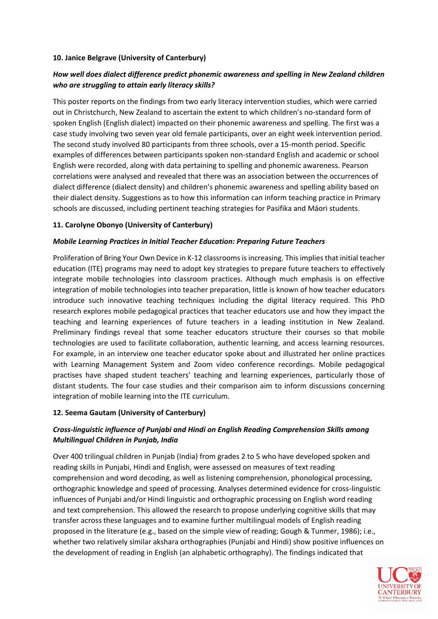#### **10. Janice Belgrave (University of Canterbury)**

# *How well does dialect difference predict phonemic awareness and spelling in New Zealand children who are struggling to attain early literacy skills?*

This poster reports on the findings from two early literacy intervention studies, which were carried out in Christchurch, New Zealand to ascertain the extent to which children's no-standard form of spoken English (English dialect) impacted on their phonemic awareness and spelling. The first was a case study involving two seven year old female participants, over an eight week intervention period. The second study involved 80 participants from three schools, over a 15-month period. Specific examples of differences between participants spoken non-standard English and academic or school English were recorded, along with data pertaining to spelling and phonemic awareness. Pearson correlations were analysed and revealed that there was an association between the occurrences of dialect difference (dialect density) and children's phonemic awareness and spelling ability based on their dialect density. Suggestions as to how this information can inform teaching practice in Primary schools are discussed, including pertinent teaching strategies for Pasifika and Māori students.

#### **11. Carolyne Obonyo (University of Canterbury)**

#### *Mobile Learning Practices in Initial Teacher Education: Preparing Future Teachers*

Proliferation of Bring Your Own Device in K-12 classrooms is increasing. This implies that initial teacher education (ITE) programs may need to adopt key strategies to prepare future teachers to effectively integrate mobile technologies into classroom practices. Although much emphasis is on effective integration of mobile technologies into teacher preparation, little is known of how teacher educators introduce such innovative teaching techniques including the digital literacy required. This PhD research explores mobile pedagogical practices that teacher educators use and how they impact the teaching and learning experiences of future teachers in a leading institution in New Zealand. Preliminary findings reveal that some teacher educators structure their courses so that mobile technologies are used to facilitate collaboration, authentic learning, and access learning resources. For example, in an interview one teacher educator spoke about and illustrated her online practices with Learning Management System and Zoom video conference recordings. Mobile pedagogical practises have shaped student teachers' teaching and learning experiences, particularly those of distant students. The four case studies and their comparison aim to inform discussions concerning integration of mobile learning into the ITE curriculum.

#### **12. Seema Gautam (University of Canterbury)**

## *Cross-linguistic influence of Punjabi and Hindi on English Reading Comprehension Skills among Multilingual Children in Punjab, India*

Over 400 trilingual children in Punjab (India) from grades 2 to 5 who have developed spoken and reading skills in Punjabi, Hindi and English, were assessed on measures of text reading comprehension and word decoding, as well as listening comprehension, phonological processing, orthographic knowledge and speed of processing. Analyses determined evidence for cross-linguistic influences of Punjabi and/or Hindi linguistic and orthographic processing on English word reading and text comprehension. This allowed the research to propose underlying cognitive skills that may transfer across these languages and to examine further multilingual models of English reading proposed in the literature (e.g., based on the simple view of reading; Gough & Tunmer, 1986); i.e., whether two relatively similar akshara orthographies (Punjabi and Hindi) show positive influences on the development of reading in English (an alphabetic orthography). The findings indicated that

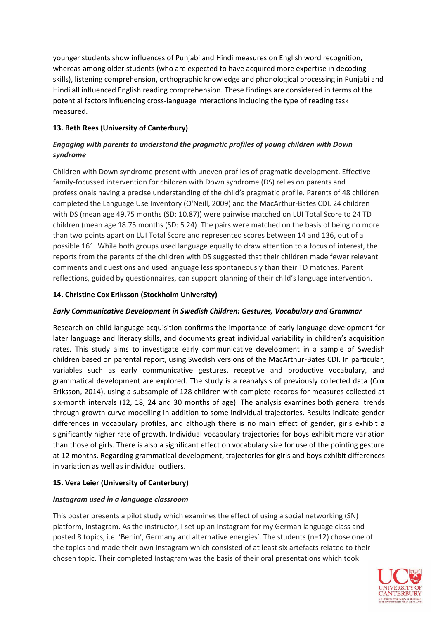younger students show influences of Punjabi and Hindi measures on English word recognition, whereas among older students (who are expected to have acquired more expertise in decoding skills), listening comprehension, orthographic knowledge and phonological processing in Punjabi and Hindi all influenced English reading comprehension. These findings are considered in terms of the potential factors influencing cross-language interactions including the type of reading task measured.

## **13. Beth Rees (University of Canterbury)**

# *Engaging with parents to understand the pragmatic profiles of young children with Down syndrome*

Children with Down syndrome present with uneven profiles of pragmatic development. Effective family-focussed intervention for children with Down syndrome (DS) relies on parents and professionals having a precise understanding of the child's pragmatic profile. Parents of 48 children completed the Language Use Inventory (O'Neill, 2009) and the MacArthur-Bates CDI. 24 children with DS (mean age 49.75 months (SD: 10.87)) were pairwise matched on LUI Total Score to 24 TD children (mean age 18.75 months (SD: 5.24). The pairs were matched on the basis of being no more than two points apart on LUI Total Score and represented scores between 14 and 136, out of a possible 161. While both groups used language equally to draw attention to a focus of interest, the reports from the parents of the children with DS suggested that their children made fewer relevant comments and questions and used language less spontaneously than their TD matches. Parent reflections, guided by questionnaires, can support planning of their child's language intervention.

# **14. Christine Cox Eriksson (Stockholm University)**

## *Early Communicative Development in Swedish Children: Gestures, Vocabulary and Grammar*

Research on child language acquisition confirms the importance of early language development for later language and literacy skills, and documents great individual variability in children's acquisition rates. This study aims to investigate early communicative development in a sample of Swedish children based on parental report, using Swedish versions of the MacArthur-Bates CDI. In particular, variables such as early communicative gestures, receptive and productive vocabulary, and grammatical development are explored. The study is a reanalysis of previously collected data (Cox Eriksson, 2014), using a subsample of 128 children with complete records for measures collected at six-month intervals (12, 18, 24 and 30 months of age). The analysis examines both general trends through growth curve modelling in addition to some individual trajectories. Results indicate gender differences in vocabulary profiles, and although there is no main effect of gender, girls exhibit a significantly higher rate of growth. Individual vocabulary trajectories for boys exhibit more variation than those of girls. There is also a significant effect on vocabulary size for use of the pointing gesture at 12 months. Regarding grammatical development, trajectories for girls and boys exhibit differences in variation as well as individual outliers.

# **15. Vera Leier (University of Canterbury)**

#### *Instagram used in a language classroom*

This poster presents a pilot study which examines the effect of using a social networking (SN) platform, Instagram. As the instructor, I set up an Instagram for my German language class and posted 8 topics, i.e. 'Berlin', Germany and alternative energies'. The students (n=12) chose one of the topics and made their own Instagram which consisted of at least six artefacts related to their chosen topic. Their completed Instagram was the basis of their oral presentations which took

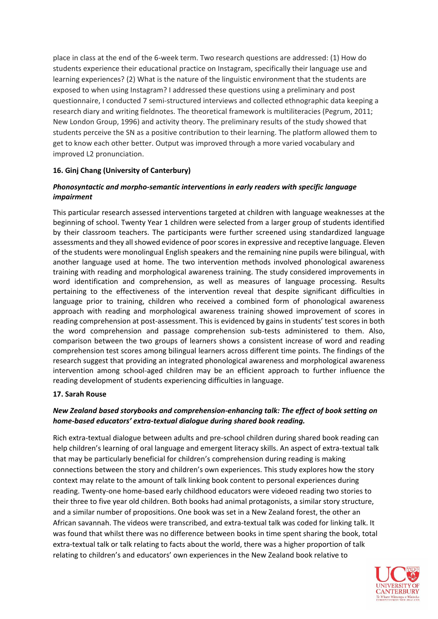place in class at the end of the 6-week term. Two research questions are addressed: (1) How do students experience their educational practice on Instagram, specifically their language use and learning experiences? (2) What is the nature of the linguistic environment that the students are exposed to when using Instagram? I addressed these questions using a preliminary and post questionnaire, I conducted 7 semi-structured interviews and collected ethnographic data keeping a research diary and writing fieldnotes. The theoretical framework is multiliteracies (Pegrum, 2011; New London Group, 1996) and activity theory. The preliminary results of the study showed that students perceive the SN as a positive contribution to their learning. The platform allowed them to get to know each other better. Output was improved through a more varied vocabulary and improved L2 pronunciation.

#### **16. Ginj Chang (University of Canterbury)**

## *Phonosyntactic and morpho-semantic interventions in early readers with specific language impairment*

This particular research assessed interventions targeted at children with language weaknesses at the beginning of school. Twenty Year 1 children were selected from a larger group of students identified by their classroom teachers. The participants were further screened using standardized language assessments and they all showed evidence of poor scores in expressive and receptive language. Eleven of the students were monolingual English speakers and the remaining nine pupils were bilingual, with another language used at home. The two intervention methods involved phonological awareness training with reading and morphological awareness training. The study considered improvements in word identification and comprehension, as well as measures of language processing. Results pertaining to the effectiveness of the intervention reveal that despite significant difficulties in language prior to training, children who received a combined form of phonological awareness approach with reading and morphological awareness training showed improvement of scores in reading comprehension at post-assessment. This is evidenced by gains in students' test scores in both the word comprehension and passage comprehension sub-tests administered to them. Also, comparison between the two groups of learners shows a consistent increase of word and reading comprehension test scores among bilingual learners across different time points. The findings of the research suggest that providing an integrated phonological awareness and morphological awareness intervention among school-aged children may be an efficient approach to further influence the reading development of students experiencing difficulties in language.

#### **17. Sarah Rouse**

## *New Zealand based storybooks and comprehension-enhancing talk: The effect of book setting on home-based educators' extra-textual dialogue during shared book reading.*

Rich extra-textual dialogue between adults and pre-school children during shared book reading can help children's learning of oral language and emergent literacy skills. An aspect of extra-textual talk that may be particularly beneficial for children's comprehension during reading is making connections between the story and children's own experiences. This study explores how the story context may relate to the amount of talk linking book content to personal experiences during reading. Twenty-one home-based early childhood educators were videoed reading two stories to their three to five year old children. Both books had animal protagonists, a similar story structure, and a similar number of propositions. One book was set in a New Zealand forest, the other an African savannah. The videos were transcribed, and extra-textual talk was coded for linking talk. It was found that whilst there was no difference between books in time spent sharing the book, total extra-textual talk or talk relating to facts about the world, there was a higher proportion of talk relating to children's and educators' own experiences in the New Zealand book relative to